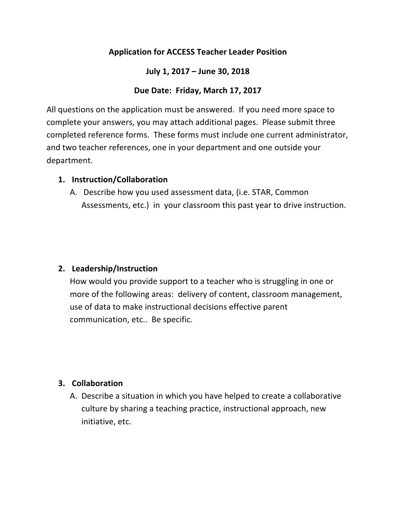# **Application for ACCESS Teacher Leader Position**

#### July 1, 2017 – June 30, 2018

### Due Date: Friday, March 17, 2017

All questions on the application must be answered. If you need more space to complete your answers, you may attach additional pages. Please submit three completed reference forms. These forms must include one current administrator, and two teacher references, one in your department and one outside your department.

#### **1. Instruction/Collaboration**

A. Describe how you used assessment data, (i.e. STAR, Common Assessments, etc.) in your classroom this past year to drive instruction.

# **2. Leadership/Instruction**

How would you provide support to a teacher who is struggling in one or more of the following areas: delivery of content, classroom management, use of data to make instructional decisions effective parent communication, etc.. Be specific.

# **3. Collaboration**

A. Describe a situation in which you have helped to create a collaborative culture by sharing a teaching practice, instructional approach, new initiative, etc.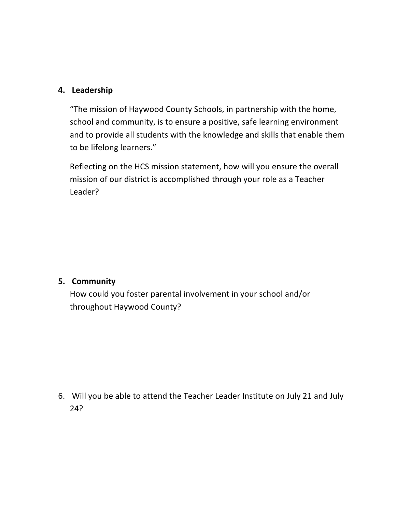### **4. Leadership**

"The mission of Haywood County Schools, in partnership with the home, school and community, is to ensure a positive, safe learning environment and to provide all students with the knowledge and skills that enable them to be lifelong learners."

Reflecting on the HCS mission statement, how will you ensure the overall mission of our district is accomplished through your role as a Teacher Leader?

#### **5. Community**

How could you foster parental involvement in your school and/or throughout Haywood County?

6. Will you be able to attend the Teacher Leader Institute on July 21 and July 24?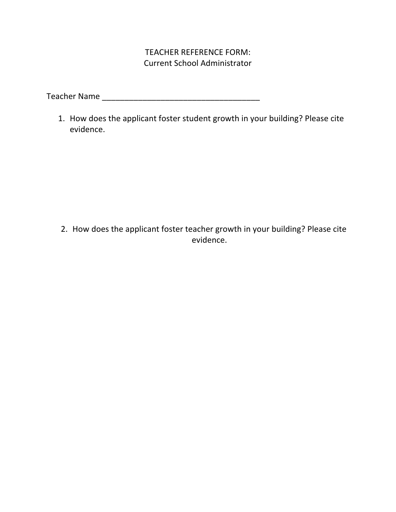## TEACHER REFERENCE FORM: **Current School Administrator**

Teacher 
 Name 
 \_\_\_\_\_\_\_\_\_\_\_\_\_\_\_\_\_\_\_\_\_\_\_\_\_\_\_\_\_\_\_\_\_\_\_

1. How does the applicant foster student growth in your building? Please cite evidence.

2. How does the applicant foster teacher growth in your building? Please cite evidence.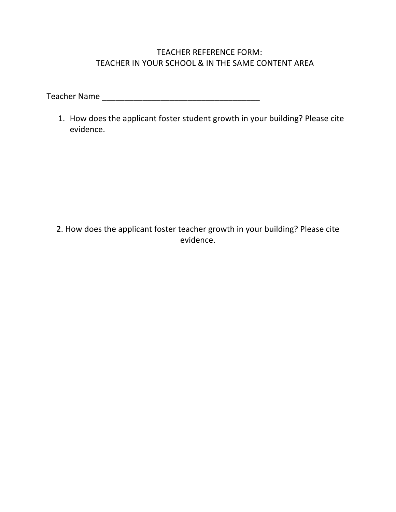# TEACHER REFERENCE FORM: TEACHER IN YOUR SCHOOL & IN THE SAME CONTENT AREA

Teacher 
 Name 
 \_\_\_\_\_\_\_\_\_\_\_\_\_\_\_\_\_\_\_\_\_\_\_\_\_\_\_\_\_\_\_\_\_\_\_

1. How does the applicant foster student growth in your building? Please cite evidence.

2. How does the applicant foster teacher growth in your building? Please cite evidence.